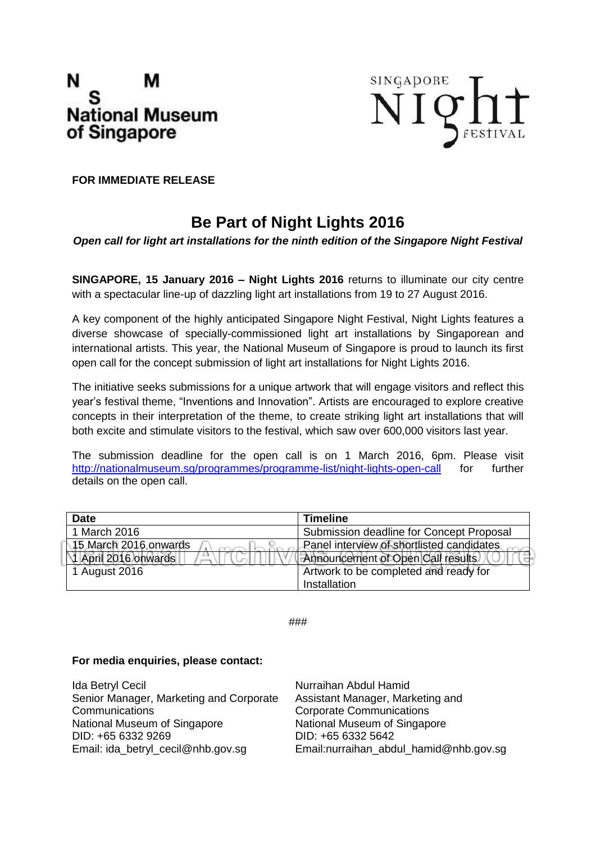



**FOR IMMEDIATE RELEASE**

## **Be Part of Night Lights 2016**

*Open call for light art installations for the ninth edition of the Singapore Night Festival*

**SINGAPORE, 15 January 2016 – Night Lights 2016** returns to illuminate our city centre with a spectacular line-up of dazzling light art installations from 19 to 27 August 2016.

A key component of the highly anticipated Singapore Night Festival, Night Lights features a diverse showcase of specially-commissioned light art installations by Singaporean and international artists. This year, the National Museum of Singapore is proud to launch its first open call for the concept submission of light art installations for Night Lights 2016.

The initiative seeks submissions for a unique artwork that will engage visitors and reflect this year's festival theme, "Inventions and Innovation". Artists are encouraged to explore creative concepts in their interpretation of the theme, to create striking light art installations that will both excite and stimulate visitors to the festival, which saw over 600,000 visitors last year.

The submission deadline for the open call is on 1 March 2016, 6pm. Please visit <http://nationalmuseum.sg/programmes/programme-list/night-lights-open-call> for further details on the open call.

| Date                     | <b>Timeline</b>                           |
|--------------------------|-------------------------------------------|
| 1 March 2016             | Submission deadline for Concept Proposal  |
| 15 March 2016 onwards    | Panel interview of shortlisted candidates |
| 1 April 2016 onwards<br> | Announcement of Open Call results         |
| 1 August 2016            | Artwork to be completed and ready for     |
|                          | Installation                              |

###

#### **For media enquiries, please contact:**

| Ida Betryl Cecil                        | Nurraihan Abdul Hamid                  |
|-----------------------------------------|----------------------------------------|
| Senior Manager, Marketing and Corporate | Assistant Manager, Marketing and       |
| Communications                          | <b>Corporate Communications</b>        |
| National Museum of Singapore            | National Museum of Singapore           |
| DID: +65 6332 9269                      | DID: +65 6332 5642                     |
| Email: ida_betryl_cecil@nhb.gov.sg      | Email:nurraihan_abdul_hamid@nhb.gov.sg |